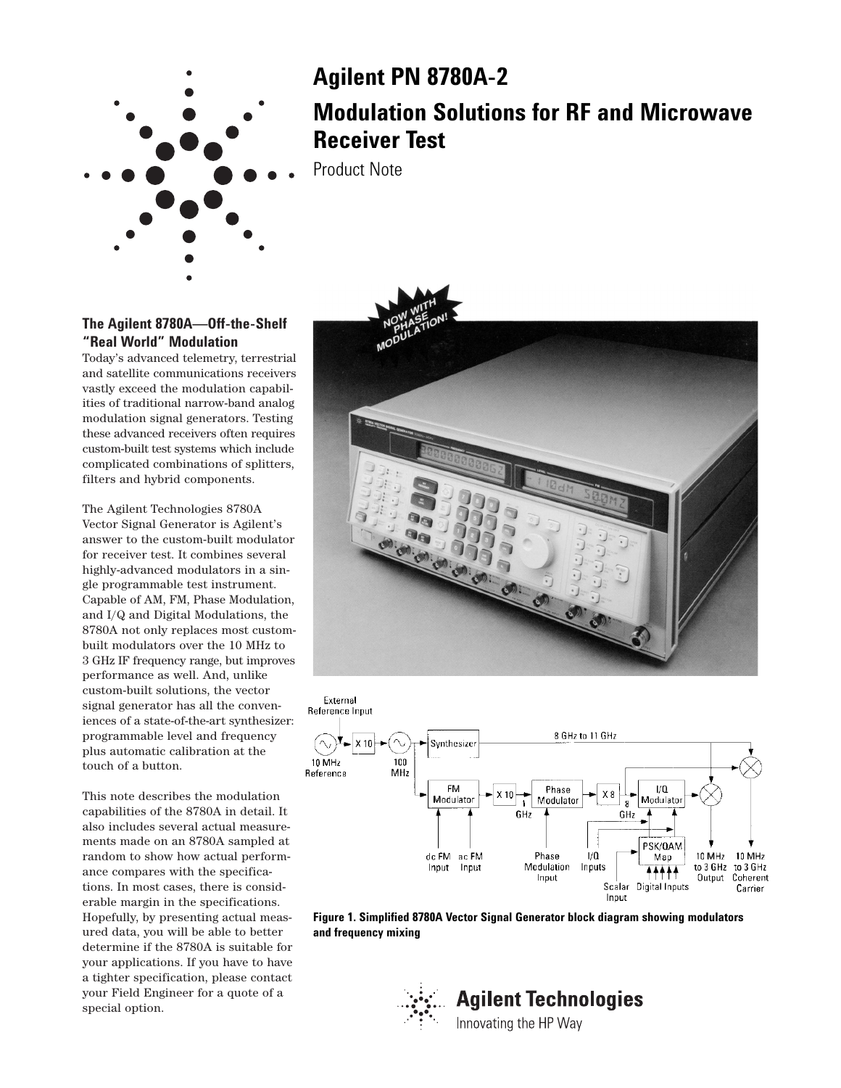

# **Agilent PN 8780A-2 Modulation Solutions for RF and Microwave Receiver Test**

Product Note

# **The Agilent 8780A—Off-the-Shelf "Real World" Modulation**

Today's advanced telemetry, terrestrial and satellite communications receivers vastly exceed the modulation capabilities of traditional narrow-band analog modulation signal generators. Testing these advanced receivers often requires custom-built test systems which include complicated combinations of splitters, filters and hybrid components.

The Agilent Technologies 8780A Vector Signal Generator is Agilent's answer to the custom-built modulator for receiver test. It combines several highly-advanced modulators in a single programmable test instrument. Capable of AM, FM, Phase Modulation, and I/Q and Digital Modulations, the 8780A not only replaces most custombuilt modulators over the 10 MHz to 3 GHz IF frequency range, but improves performance as well. And, unlike custom-built solutions, the vector signal generator has all the conveniences of a state-of-the-art synthesizer: programmable level and frequency plus automatic calibration at the touch of a button.

This note describes the modulation capabilities of the 8780A in detail. It also includes several actual measurements made on an 8780A sampled at random to show how actual performance compares with the specifications. In most cases, there is considerable margin in the specifications. Hopefully, by presenting actual measured data, you will be able to better determine if the 8780A is suitable for your applications. If you have to have a tighter specification, please contact your Field Engineer for a quote of a special option.





**Figure 1. Simplified 8780A Vector Signal Generator block diagram showing modulators and frequency mixing**

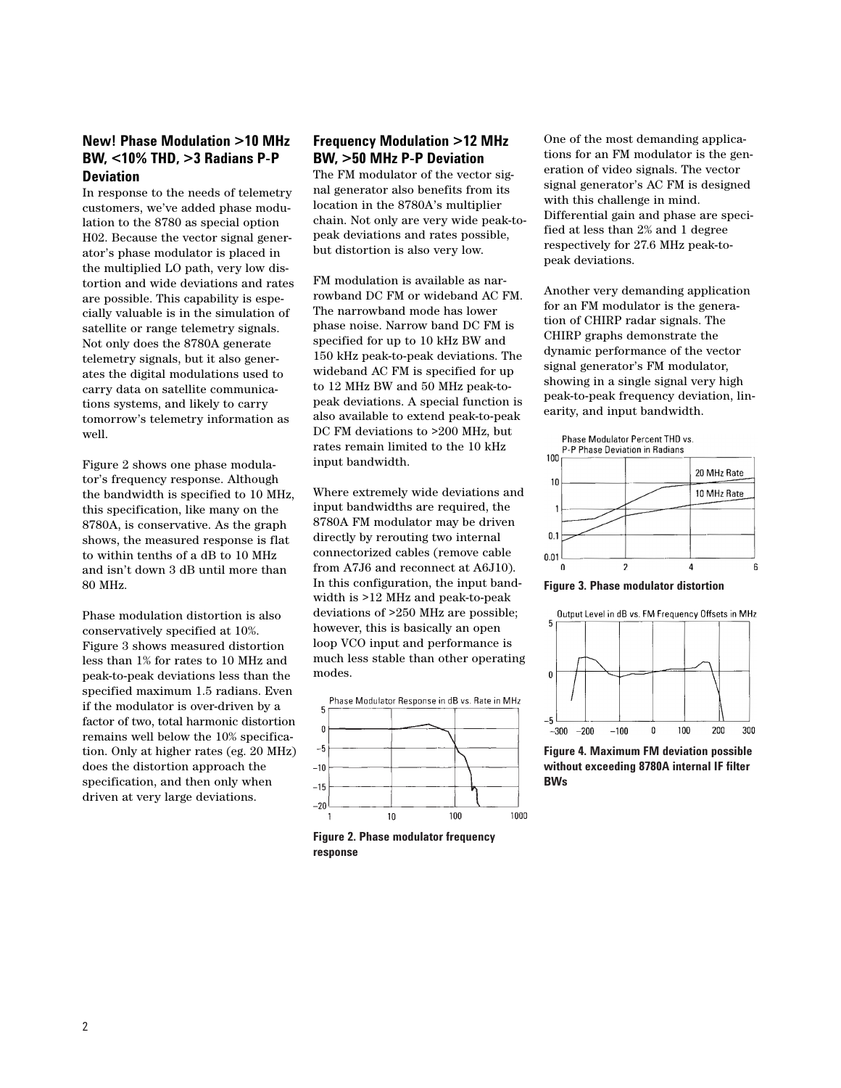#### **New! Phase Modulation >10 MHz BW, <10% THD, >3 Radians P-P Deviation**

In response to the needs of telemetry customers, we've added phase modulation to the 8780 as special option H02. Because the vector signal generator's phase modulator is placed in the multiplied LO path, very low distortion and wide deviations and rates are possible. This capability is especially valuable is in the simulation of satellite or range telemetry signals. Not only does the 8780A generate telemetry signals, but it also generates the digital modulations used to carry data on satellite communications systems, and likely to carry tomorrow's telemetry information as well.

Figure 2 shows one phase modulator's frequency response. Although the bandwidth is specified to 10 MHz, this specification, like many on the 8780A, is conservative. As the graph shows, the measured response is flat to within tenths of a dB to 10 MHz and isn't down 3 dB until more than 80 MHz.

Phase modulation distortion is also conservatively specified at 10%. Figure 3 shows measured distortion less than 1% for rates to 10 MHz and peak-to-peak deviations less than the specified maximum 1.5 radians. Even if the modulator is over-driven by a factor of two, total harmonic distortion remains well below the 10% specification. Only at higher rates (eg. 20 MHz) does the distortion approach the specification, and then only when driven at very large deviations.

# **Frequency Modulation >12 MHz BW, >50 MHz P-P Deviation**

The FM modulator of the vector signal generator also benefits from its location in the 8780A's multiplier chain. Not only are very wide peak-topeak deviations and rates possible, but distortion is also very low.

FM modulation is available as narrowband DC FM or wideband AC FM. The narrowband mode has lower phase noise. Narrow band DC FM is specified for up to 10 kHz BW and 150 kHz peak-to-peak deviations. The wideband AC FM is specified for up to 12 MHz BW and 50 MHz peak-topeak deviations. A special function is also available to extend peak-to-peak DC FM deviations to >200 MHz, but rates remain limited to the 10 kHz input bandwidth.

Where extremely wide deviations and input bandwidths are required, the 8780A FM modulator may be driven directly by rerouting two internal connectorized cables (remove cable from A7J6 and reconnect at A6J10). In this configuration, the input bandwidth is >12 MHz and peak-to-peak deviations of >250 MHz are possible; however, this is basically an open loop VCO input and performance is much less stable than other operating modes.



**Figure 2. Phase modulator frequency response**

One of the most demanding applications for an FM modulator is the generation of video signals. The vector signal generator's AC FM is designed with this challenge in mind. Differential gain and phase are specified at less than 2% and 1 degree respectively for 27.6 MHz peak-topeak deviations.

Another very demanding application for an FM modulator is the generation of CHIRP radar signals. The CHIRP graphs demonstrate the dynamic performance of the vector signal generator's FM modulator, showing in a single signal very high peak-to-peak frequency deviation, linearity, and input bandwidth.

Phase Modulator Percent THD vs. P-P Phase Deviation in Radians



**Figure 3. Phase modulator distortion**



**Figure 4. Maximum FM deviation possible without exceeding 8780A internal IF filter BWs**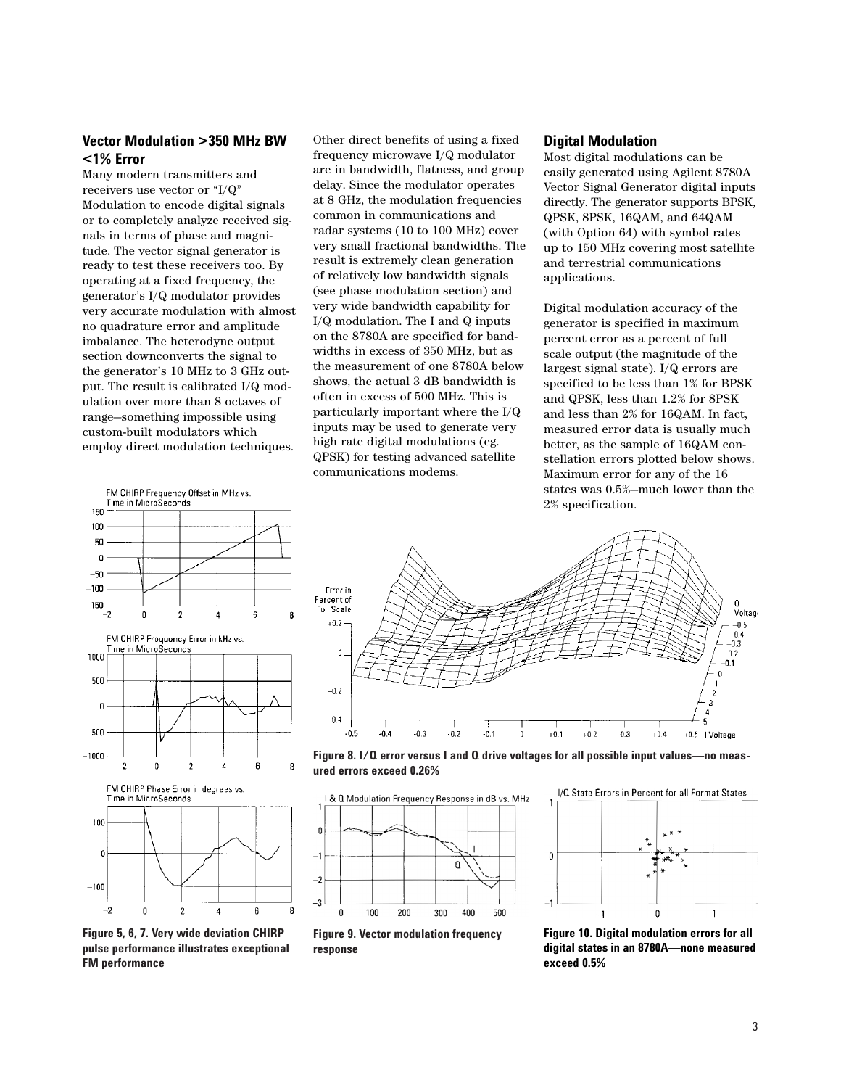### **Vector Modulation >350 MHz BW <1% Error**

Many modern transmitters and receivers use vector or "I/Q" Modulation to encode digital signals or to completely analyze received signals in terms of phase and magnitude. The vector signal generator is ready to test these receivers too. By operating at a fixed frequency, the generator's I/Q modulator provides very accurate modulation with almost no quadrature error and amplitude imbalance. The heterodyne output section downconverts the signal to the generator's 10 MHz to 3 GHz output. The result is calibrated I/Q modulation over more than 8 octaves of range—something impossible using custom-built modulators which employ direct modulation techniques.

Other direct benefits of using a fixed frequency microwave I/Q modulator are in bandwidth, flatness, and group delay. Since the modulator operates at 8 GHz, the modulation frequencies common in communications and radar systems (10 to 100 MHz) cover very small fractional bandwidths. The result is extremely clean generation of relatively low bandwidth signals (see phase modulation section) and very wide bandwidth capability for I/Q modulation. The I and Q inputs on the 8780A are specified for bandwidths in excess of 350 MHz, but as the measurement of one 8780A below shows, the actual 3 dB bandwidth is often in excess of 500 MHz. This is particularly important where the I/Q inputs may be used to generate very high rate digital modulations (eg. QPSK) for testing advanced satellite communications modems.

#### **Digital Modulation**

Most digital modulations can be easily generated using Agilent 8780A Vector Signal Generator digital inputs directly. The generator supports BPSK, QPSK, 8PSK, 16QAM, and 64QAM (with Option 64) with symbol rates up to 150 MHz covering most satellite and terrestrial communications applications.

Digital modulation accuracy of the generator is specified in maximum percent error as a percent of full scale output (the magnitude of the largest signal state). I/Q errors are specified to be less than 1% for BPSK and QPSK, less than 1.2% for 8PSK and less than 2% for 16QAM. In fact, measured error data is usually much better, as the sample of 16QAM constellation errors plotted below shows. Maximum error for any of the 16 states was 0.5%—much lower than the 2% specification.







**Figure 5, 6, 7. Very wide deviation CHIRP pulse performance illustrates exceptional FM performance**



**Figure 8. I/Q error versus I and Q drive voltages for all possible input values—no measured errors exceed 0.26%**



**Figure 9. Vector modulation frequency response**



**Figure 10. Digital modulation errors for all digital states in an 8780A—none measured exceed 0.5%**